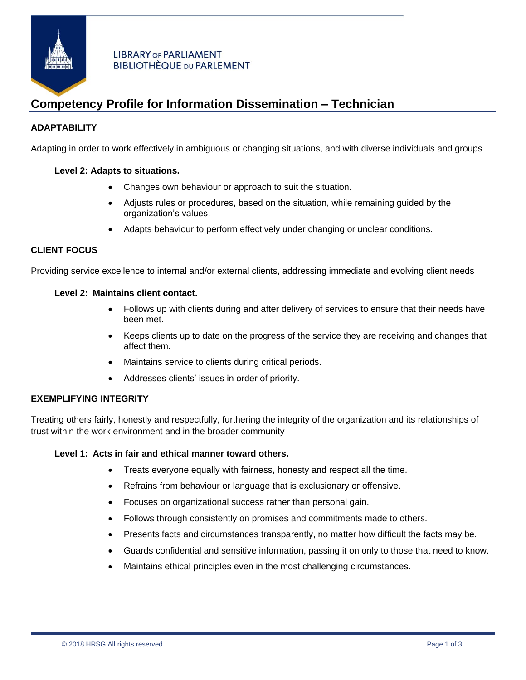

## **LIBRARY OF PARLIAMENT BIBLIOTHÈQUE DU PARLEMENT**

# **Competency Profile for Information Dissemination – Technician**

# **ADAPTABILITY**

Adapting in order to work effectively in ambiguous or changing situations, and with diverse individuals and groups

## **Level 2: Adapts to situations.**

- Changes own behaviour or approach to suit the situation.
- Adjusts rules or procedures, based on the situation, while remaining guided by the organization's values.
- Adapts behaviour to perform effectively under changing or unclear conditions.

# **CLIENT FOCUS**

Providing service excellence to internal and/or external clients, addressing immediate and evolving client needs

#### **Level 2: Maintains client contact.**

- Follows up with clients during and after delivery of services to ensure that their needs have been met.
- Keeps clients up to date on the progress of the service they are receiving and changes that affect them.
- Maintains service to clients during critical periods.
- Addresses clients' issues in order of priority.

## **EXEMPLIFYING INTEGRITY**

Treating others fairly, honestly and respectfully, furthering the integrity of the organization and its relationships of trust within the work environment and in the broader community

#### **Level 1: Acts in fair and ethical manner toward others.**

- Treats everyone equally with fairness, honesty and respect all the time.
- Refrains from behaviour or language that is exclusionary or offensive.
- Focuses on organizational success rather than personal gain.
- Follows through consistently on promises and commitments made to others.
- Presents facts and circumstances transparently, no matter how difficult the facts may be.
- Guards confidential and sensitive information, passing it on only to those that need to know.
- Maintains ethical principles even in the most challenging circumstances.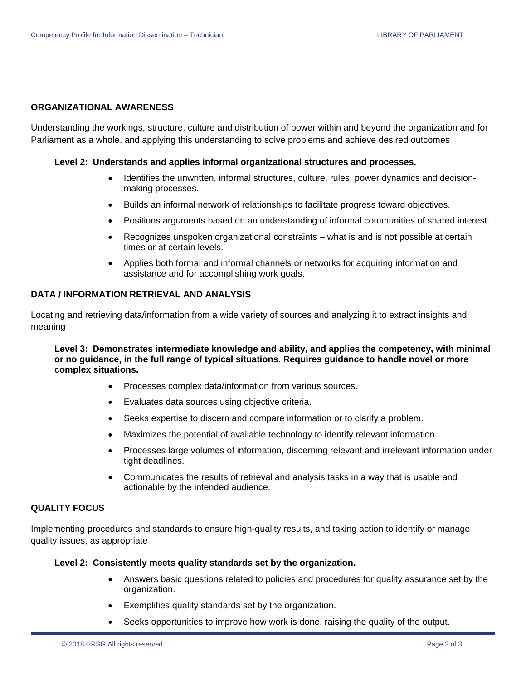#### **ORGANIZATIONAL AWARENESS**

Understanding the workings, structure, culture and distribution of power within and beyond the organization and for Parliament as a whole, and applying this understanding to solve problems and achieve desired outcomes

#### **Level 2: Understands and applies informal organizational structures and processes.**

- Identifies the unwritten, informal structures, culture, rules, power dynamics and decisionmaking processes.
- Builds an informal network of relationships to facilitate progress toward objectives.
- Positions arguments based on an understanding of informal communities of shared interest.
- Recognizes unspoken organizational constraints what is and is not possible at certain times or at certain levels.
- Applies both formal and informal channels or networks for acquiring information and assistance and for accomplishing work goals.

## **DATA / INFORMATION RETRIEVAL AND ANALYSIS**

Locating and retrieving data/information from a wide variety of sources and analyzing it to extract insights and meaning

**Level 3: Demonstrates intermediate knowledge and ability, and applies the competency, with minimal or no guidance, in the full range of typical situations. Requires guidance to handle novel or more complex situations.**

- Processes complex data/information from various sources.
- Evaluates data sources using objective criteria.
- Seeks expertise to discern and compare information or to clarify a problem.
- Maximizes the potential of available technology to identify relevant information.
- Processes large volumes of information, discerning relevant and irrelevant information under tight deadlines.
- Communicates the results of retrieval and analysis tasks in a way that is usable and actionable by the intended audience.

#### **QUALITY FOCUS**

Implementing procedures and standards to ensure high-quality results, and taking action to identify or manage quality issues, as appropriate

#### **Level 2: Consistently meets quality standards set by the organization.**

- Answers basic questions related to policies and procedures for quality assurance set by the organization.
- Exemplifies quality standards set by the organization.
- Seeks opportunities to improve how work is done, raising the quality of the output.